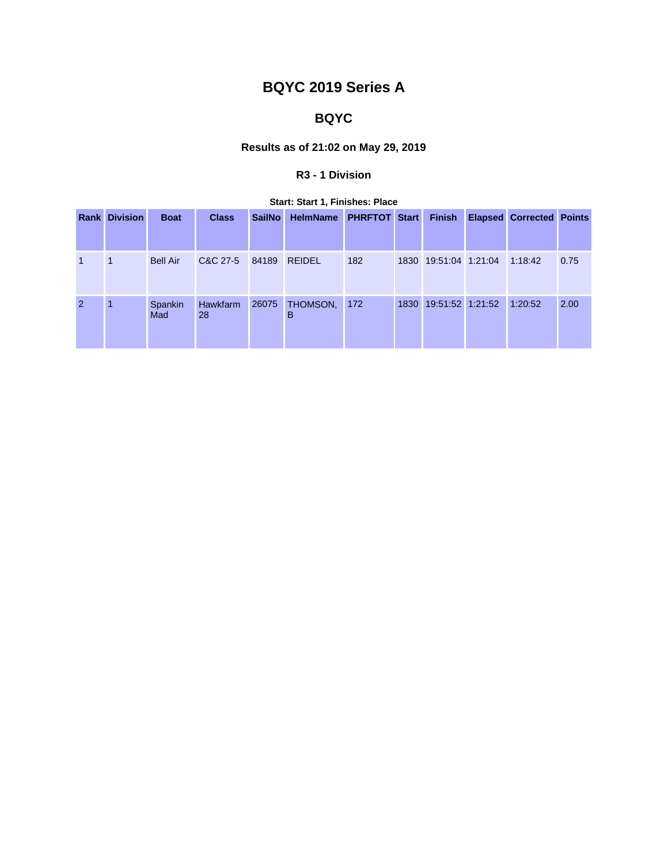# **BQYC 2019 Series A**

## **BQYC**

### **Results as of 21:02 on May 29, 2019**

### **R3 - 1 Division**

|  |  |  | Start: Start 1, Finishes: Place |  |
|--|--|--|---------------------------------|--|
|--|--|--|---------------------------------|--|

|              | <b>Rank Division</b> | <b>Boat</b>     | <b>Class</b>   | <b>SailNo</b> | HelmName PHRFTOT Start |     |      | <b>Finish</b>         | <b>Elapsed Corrected Points</b> |      |
|--------------|----------------------|-----------------|----------------|---------------|------------------------|-----|------|-----------------------|---------------------------------|------|
| $\mathbf{1}$ | -1                   | <b>Bell Air</b> | C&C 27-5       | 84189         | <b>REIDEL</b>          | 182 |      | 1830 19:51:04 1:21:04 | 1:18:42                         | 0.75 |
| 2            | $\overline{1}$       | Spankin<br>Mad  | Hawkfarm<br>28 | 26075         | THOMSON,<br>в          | 172 | 1830 | 19:51:52 1:21:52      | 1:20:52                         | 2.00 |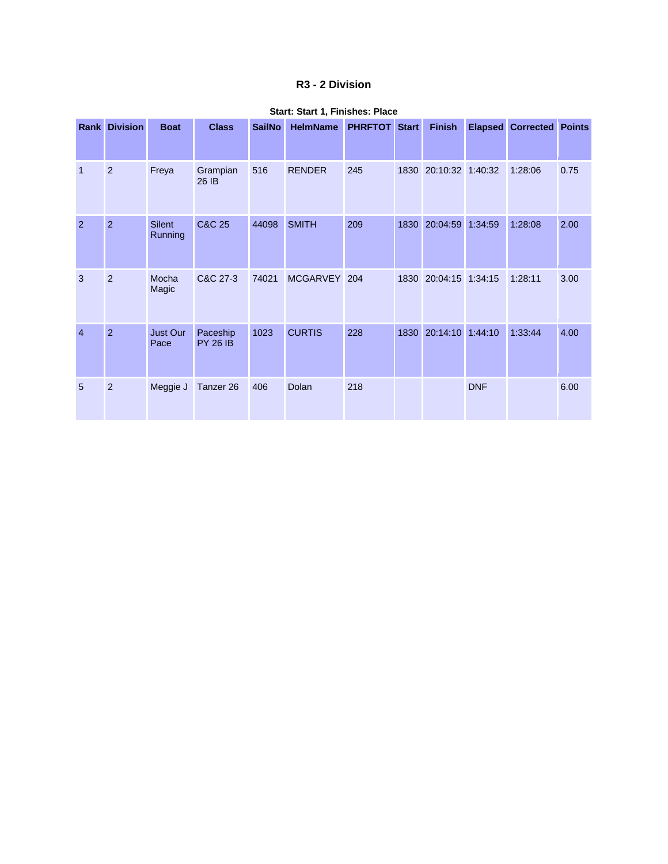#### **R3 - 2 Division**

|                | <b>Rank Division</b> | <b>Boat</b>              | <b>Class</b>                | <b>SailNo</b> | <b>HelmName</b> | <b>PHRFTOT</b> Start |      | <b>Finish</b>    |            | <b>Elapsed Corrected Points</b> |      |
|----------------|----------------------|--------------------------|-----------------------------|---------------|-----------------|----------------------|------|------------------|------------|---------------------------------|------|
| $\overline{1}$ | $\overline{2}$       | Freya                    | Grampian<br>26 IB           | 516           | <b>RENDER</b>   | 245                  | 1830 | 20:10:32 1:40:32 |            | 1:28:06                         | 0.75 |
| $\overline{2}$ | $\overline{2}$       | <b>Silent</b><br>Running | <b>C&amp;C 25</b>           | 44098         | <b>SMITH</b>    | 209                  | 1830 | 20:04:59         | 1:34:59    | 1:28:08                         | 2.00 |
| 3              | $\overline{2}$       | Mocha<br>Magic           | C&C 27-3                    | 74021         | MCGARVEY 204    |                      | 1830 | 20:04:15 1:34:15 |            | 1:28:11                         | 3.00 |
| $\overline{4}$ | $\overline{2}$       | Just Our<br>Pace         | Paceship<br><b>PY 26 IB</b> | 1023          | <b>CURTIS</b>   | 228                  | 1830 | 20:14:10 1:44:10 |            | 1:33:44                         | 4.00 |
| 5              | 2                    | Meggie J                 | Tanzer 26                   | 406           | Dolan           | 218                  |      |                  | <b>DNF</b> |                                 | 6.00 |

#### **Start: Start 1, Finishes: Place**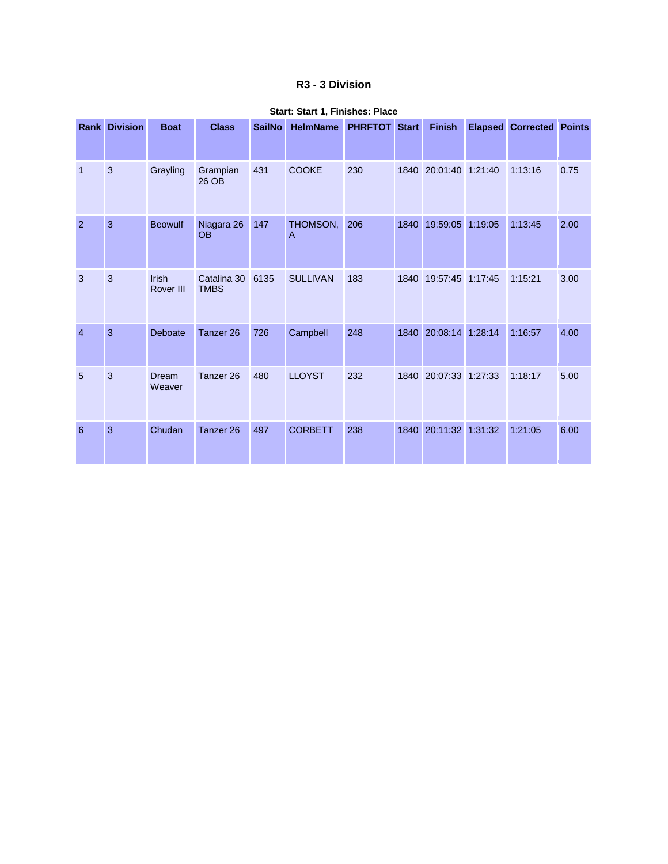#### **R3 - 3 Division**

|                | <b>Rank Division</b> | <b>Boat</b>        | <b>Class</b>               | <b>SailNo</b> | <b>HelmName</b> | <b>PHRFTOT Start</b> |      | <b>Finish</b>    |         | <b>Elapsed Corrected Points</b> |      |
|----------------|----------------------|--------------------|----------------------------|---------------|-----------------|----------------------|------|------------------|---------|---------------------------------|------|
| $\mathbf{1}$   | 3                    | Grayling           | Grampian<br>26 OB          | 431           | <b>COOKE</b>    | 230                  | 1840 | 20:01:40 1:21:40 |         | 1:13:16                         | 0.75 |
| $\overline{2}$ | 3                    | <b>Beowulf</b>     | Niagara 26<br><b>OB</b>    | 147           | THOMSON,<br>A   | 206                  | 1840 | 19:59:05         | 1:19:05 | 1:13:45                         | 2.00 |
| 3              | 3                    | Irish<br>Rover III | Catalina 30<br><b>TMBS</b> | 6135          | <b>SULLIVAN</b> | 183                  | 1840 | 19:57:45 1:17:45 |         | 1:15:21                         | 3.00 |
| $\overline{4}$ | 3                    | Deboate            | Tanzer <sub>26</sub>       | 726           | Campbell        | 248                  | 1840 | 20:08:14         | 1:28:14 | 1:16:57                         | 4.00 |
| 5              | 3                    | Dream<br>Weaver    | Tanzer <sub>26</sub>       | 480           | <b>LLOYST</b>   | 232                  | 1840 | 20:07:33         | 1:27:33 | 1:18:17                         | 5.00 |
| 6              | 3                    | Chudan             | Tanzer <sub>26</sub>       | 497           | <b>CORBETT</b>  | 238                  | 1840 | 20:11:32 1:31:32 |         | 1:21:05                         | 6.00 |

#### **Start: Start 1, Finishes: Place**